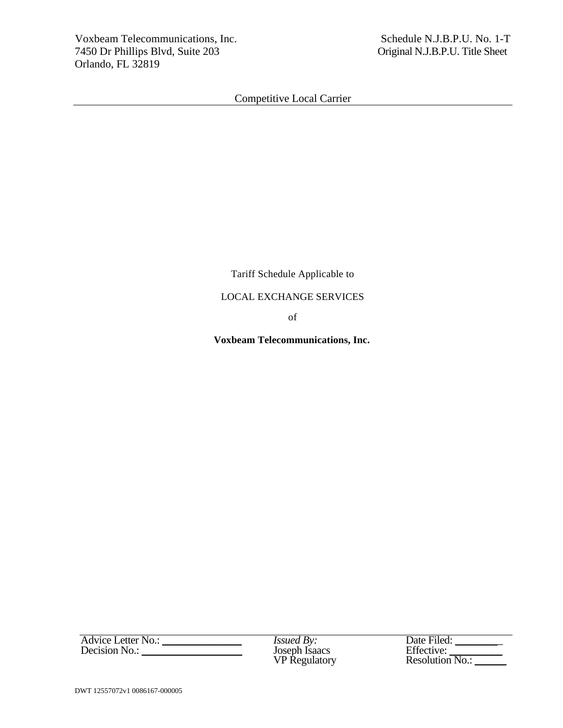Tariff Schedule Applicable to

## LOCAL EXCHANGE SERVICES

of

 **Voxbeam Telecommunications, Inc.** 

*Issued By:*<br>Joseph Isaacs<br>VP Regulatory

| <b>Advice Letter No.:</b> | <i>Issued By:</i>    | Date Filed:            |
|---------------------------|----------------------|------------------------|
| Decision No.:             | Joseph Isaacs        | Effective:             |
|                           | <b>VP</b> Regulatory | <b>Resolution No.:</b> |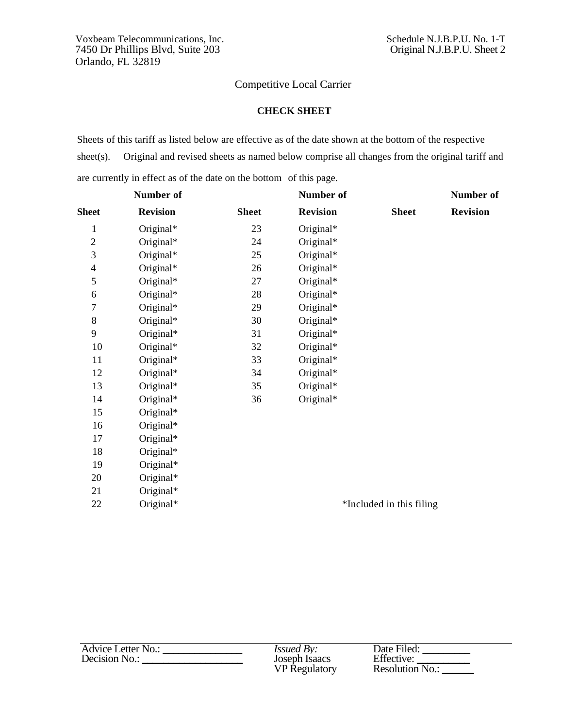### **CHECK SHEET**

Sheets of this tariff as listed below are effective as of the date shown at the bottom of the respective sheet(s). Original and revised sheets as named below comprise all changes from the original tariff and are currently in effect as of the date on the bottom of this page.

|                | <b>Number of</b> |              | <b>Number of</b> |                          | Number of       |
|----------------|------------------|--------------|------------------|--------------------------|-----------------|
| <b>Sheet</b>   | <b>Revision</b>  | <b>Sheet</b> | <b>Revision</b>  | <b>Sheet</b>             | <b>Revision</b> |
| $\mathbf{1}$   | Original*        | 23           | Original*        |                          |                 |
| $\overline{2}$ | Original*        | 24           | Original*        |                          |                 |
| 3              | Original*        | 25           | Original*        |                          |                 |
| $\overline{4}$ | Original*        | 26           | Original*        |                          |                 |
| 5              | Original*        | 27           | Original*        |                          |                 |
| 6              | Original*        | 28           | Original*        |                          |                 |
| 7              | Original*        | 29           | Original*        |                          |                 |
| $8\,$          | Original*        | 30           | Original*        |                          |                 |
| 9              | Original*        | 31           | Original*        |                          |                 |
| 10             | Original*        | 32           | Original*        |                          |                 |
| 11             | Original*        | 33           | Original*        |                          |                 |
| 12             | Original*        | 34           | Original*        |                          |                 |
| 13             | Original*        | 35           | Original*        |                          |                 |
| 14             | Original*        | 36           | Original*        |                          |                 |
| 15             | Original*        |              |                  |                          |                 |
| 16             | Original*        |              |                  |                          |                 |
| 17             | Original*        |              |                  |                          |                 |
| 18             | Original*        |              |                  |                          |                 |
| 19             | Original*        |              |                  |                          |                 |
| 20             | Original*        |              |                  |                          |                 |
| 21             | Original*        |              |                  |                          |                 |
| 22             | Original*        |              |                  | *Included in this filing |                 |

| Advice Letter No.: | <i>Issued By:</i>    | Date Filed:     |
|--------------------|----------------------|-----------------|
| Decision No.:      | Joseph Isaacs        | Effective:      |
|                    | <b>VP</b> Regulatory | Resolution No.: |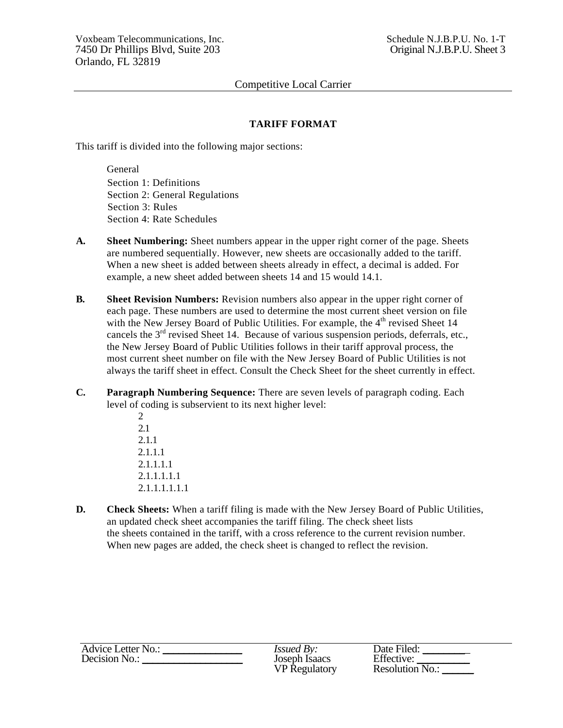## **TARIFF FORMAT**

This tariff is divided into the following major sections:

General Section 1: Definitions Section 2: General Regulations Section 3: Rules Section 4: Rate Schedules

- **A. Sheet Numbering:** Sheet numbers appear in the upper right corner of the page. Sheets are numbered sequentially. However, new sheets are occasionally added to the tariff. When a new sheet is added between sheets already in effect, a decimal is added. For example, a new sheet added between sheets 14 and 15 would 14.1.
- **B.** Sheet Revision Numbers: Revision numbers also appear in the upper right corner of each page. These numbers are used to determine the most current sheet version on file with the New Jersey Board of Public Utilities. For example, the  $4<sup>th</sup>$  revised Sheet 14 cancels the  $3<sup>rd</sup>$  revised Sheet 14. Because of various suspension periods, deferrals, etc., the New Jersey Board of Public Utilities follows in their tariff approval process, the most current sheet number on file with the New Jersey Board of Public Utilities is not always the tariff sheet in effect. Consult the Check Sheet for the sheet currently in effect.
- **C. Paragraph Numbering Sequence:** There are seven levels of paragraph coding. Each level of coding is subservient to its next higher level:
	- 2 2.1 2.1.1 2.1.1.1 2.1.1.1.1 2.1.1.1.1.1 2.1.1.1.1.1.1
- **D.** Check Sheets: When a tariff filing is made with the New Jersey Board of Public Utilities, an updated check sheet accompanies the tariff filing. The check sheet lists the sheets contained in the tariff, with a cross reference to the current revision number. When new pages are added, the check sheet is changed to reflect the revision.

| Advice Letter No.: | <i>Issued By:</i>    | Date Filed:       |
|--------------------|----------------------|-------------------|
| Decision No.:      | Joseph Isaacs        | Effective:        |
|                    | <b>VP</b> Regulatory | Resolution $N0$ . |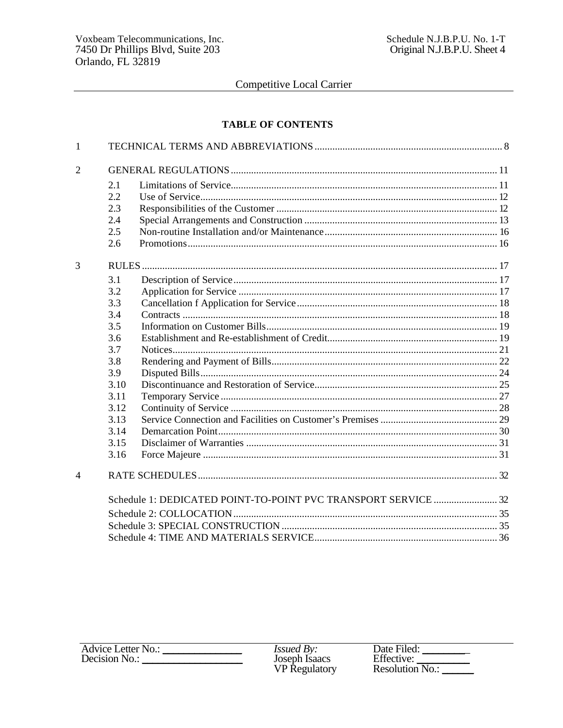### **TABLE OF CONTENTS**

| $\mathbf{1}$   |      |  |
|----------------|------|--|
| $\overline{2}$ |      |  |
|                | 2.1  |  |
|                | 2.2  |  |
|                | 2.3  |  |
|                | 2.4  |  |
|                | 2.5  |  |
|                | 2.6  |  |
| 3              |      |  |
|                | 3.1  |  |
|                | 3.2  |  |
|                | 3.3  |  |
|                | 3.4  |  |
|                | 3.5  |  |
|                | 3.6  |  |
|                | 3.7  |  |
|                | 3.8  |  |
|                | 3.9  |  |
|                | 3.10 |  |
|                | 3.11 |  |
|                | 3.12 |  |
|                | 3.13 |  |
|                | 3.14 |  |
|                | 3.15 |  |
|                | 3.16 |  |
| $\overline{4}$ |      |  |
|                |      |  |
|                |      |  |
|                |      |  |
|                |      |  |
|                |      |  |

| <b>Advice Letter No.:</b> | <i>Issued By:</i>    | Date Filed:       |
|---------------------------|----------------------|-------------------|
| Decision No.:             | Joseph Isaacs        | Effective:        |
|                           | <b>VP Regulatory</b> | Resolution $N0$ . |
|                           |                      |                   |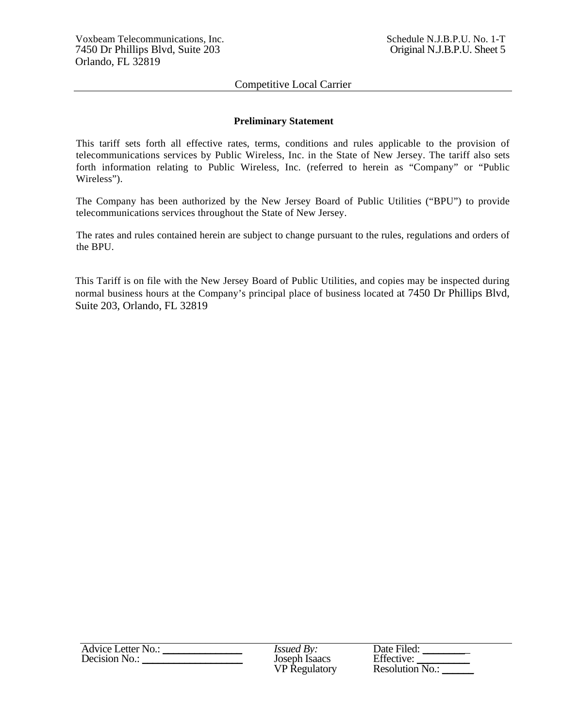#### **Preliminary Statement**

This tariff sets forth all effective rates, terms, conditions and rules applicable to the provision of telecommunications services by Public Wireless, Inc. in the State of New Jersey. The tariff also sets forth information relating to Public Wireless, Inc. (referred to herein as "Company" or "Public Wireless").

The Company has been authorized by the New Jersey Board of Public Utilities ("BPU") to provide telecommunications services throughout the State of New Jersey.

The rates and rules contained herein are subject to change pursuant to the rules, regulations and orders of the BPU.

This Tariff is on file with the New Jersey Board of Public Utilities, and copies may be inspected during normal business hours at the Company's principal place of business located at 7450 Dr Phillips Blvd, Suite 203, Orlando, FL 32819

| <b>Advice Letter No.:</b> | <i>Issued By:</i>    | Date Filed:            |
|---------------------------|----------------------|------------------------|
| Decision No.:             | Joseph Isaacs        | Effective:             |
|                           | <b>VP</b> Regulatory | <b>Resolution No.:</b> |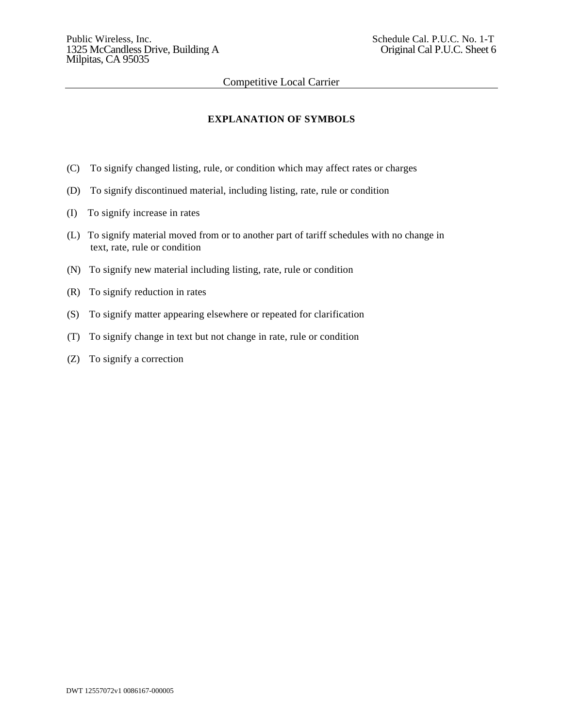### **EXPLANATION OF SYMBOLS**

- (C) To signify changed listing, rule, or condition which may affect rates or charges
- (D) To signify discontinued material, including listing, rate, rule or condition
- (I) To signify increase in rates
- (L) To signify material moved from or to another part of tariff schedules with no change in text, rate, rule or condition
- (N) To signify new material including listing, rate, rule or condition
- (R) To signify reduction in rates
- (S) To signify matter appearing elsewhere or repeated for clarification
- (T) To signify change in text but not change in rate, rule or condition
- (Z) To signify a correction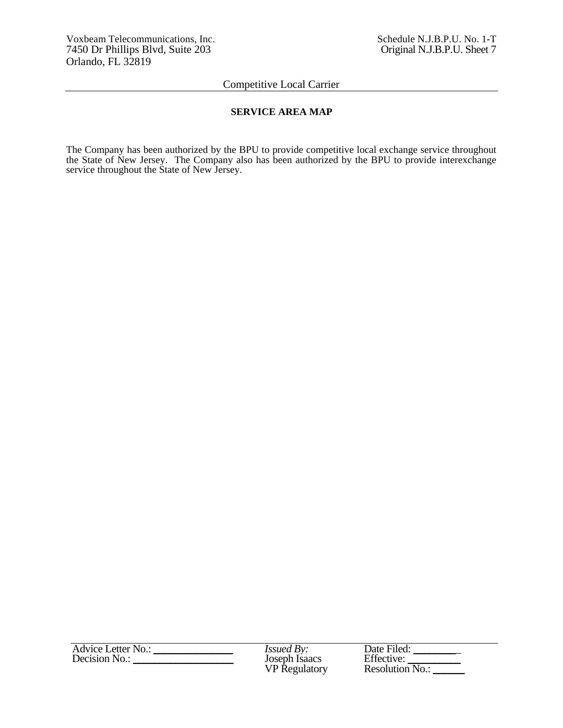### **SERVICE AREA MAP**

The Company has been authorized by the BPU to provide competitive local exchange service throughout the State of New Jersey. The Company also has been authorized by the BPU to provide interexchange service throughout the State of New Jersey.

| Advice Letter No.: | <i>Issued By:</i>    | Date Filed:            |
|--------------------|----------------------|------------------------|
| Decision No.:      | Joseph Isaacs        | Effective:             |
|                    | <b>VP</b> Regulatory | <b>Resolution No.:</b> |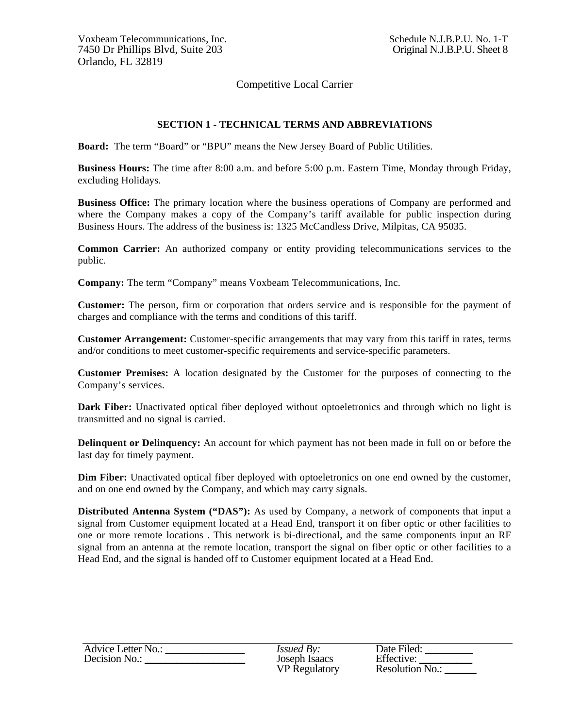## **SECTION 1 - TECHNICAL TERMS AND ABBREVIATIONS**

**Board:** The term "Board" or "BPU" means the New Jersey Board of Public Utilities.

**Business Hours:** The time after 8:00 a.m. and before 5:00 p.m. Eastern Time, Monday through Friday, excluding Holidays.

**Business Office:** The primary location where the business operations of Company are performed and where the Company makes a copy of the Company's tariff available for public inspection during Business Hours. The address of the business is: 1325 McCandless Drive, Milpitas, CA 95035.

**Common Carrier:** An authorized company or entity providing telecommunications services to the public.

**Company:** The term "Company" means Voxbeam Telecommunications, Inc.

**Customer:** The person, firm or corporation that orders service and is responsible for the payment of charges and compliance with the terms and conditions of this tariff.

**Customer Arrangement:** Customer-specific arrangements that may vary from this tariff in rates, terms and/or conditions to meet customer-specific requirements and service-specific parameters.

**Customer Premises:** A location designated by the Customer for the purposes of connecting to the Company's services.

**Dark Fiber:** Unactivated optical fiber deployed without optoeletronics and through which no light is transmitted and no signal is carried.

**Delinquent or Delinquency:** An account for which payment has not been made in full on or before the last day for timely payment.

**Dim Fiber:** Unactivated optical fiber deployed with optoeletronics on one end owned by the customer, and on one end owned by the Company, and which may carry signals.

**Distributed Antenna System ("DAS"):** As used by Company, a network of components that input a signal from Customer equipment located at a Head End, transport it on fiber optic or other facilities to one or more remote locations . This network is bi-directional, and the same components input an RF signal from an antenna at the remote location, transport the signal on fiber optic or other facilities to a Head End, and the signal is handed off to Customer equipment located at a Head End.

| Advice Letter No.: | <i>Issued By:</i>    | Date Filed:     |
|--------------------|----------------------|-----------------|
| Decision No.:      | Joseph Isaacs        | Effective:      |
|                    | <b>VP</b> Regulatory | Resolution No.: |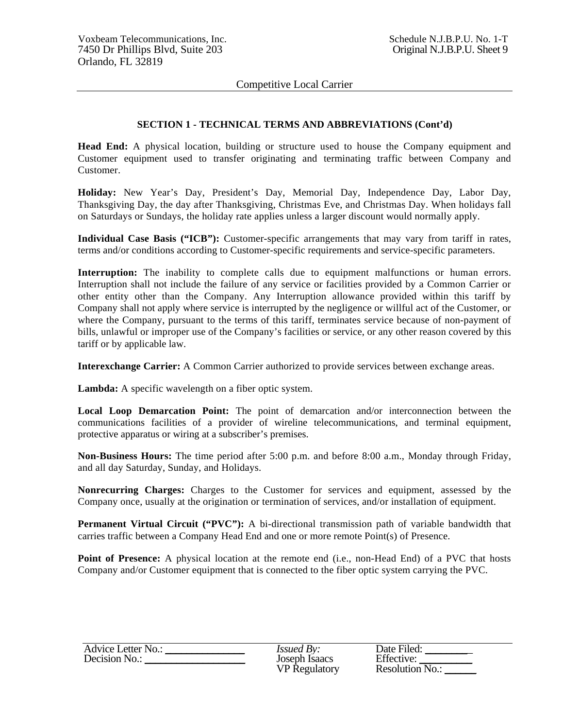### **SECTION 1 - TECHNICAL TERMS AND ABBREVIATIONS (Cont'd)**

**Head End:** A physical location, building or structure used to house the Company equipment and Customer equipment used to transfer originating and terminating traffic between Company and Customer.

**Holiday:** New Year's Day, President's Day, Memorial Day, Independence Day, Labor Day, Thanksgiving Day, the day after Thanksgiving, Christmas Eve, and Christmas Day. When holidays fall on Saturdays or Sundays, the holiday rate applies unless a larger discount would normally apply.

**Individual Case Basis ("ICB"):** Customer-specific arrangements that may vary from tariff in rates, terms and/or conditions according to Customer-specific requirements and service-specific parameters.

Interruption: The inability to complete calls due to equipment malfunctions or human errors. Interruption shall not include the failure of any service or facilities provided by a Common Carrier or other entity other than the Company. Any Interruption allowance provided within this tariff by Company shall not apply where service is interrupted by the negligence or willful act of the Customer, or where the Company, pursuant to the terms of this tariff, terminates service because of non-payment of bills, unlawful or improper use of the Company's facilities or service, or any other reason covered by this tariff or by applicable law.

**Interexchange Carrier:** A Common Carrier authorized to provide services between exchange areas.

Lambda: A specific wavelength on a fiber optic system.

**Local Loop Demarcation Point:** The point of demarcation and/or interconnection between the communications facilities of a provider of wireline telecommunications, and terminal equipment, protective apparatus or wiring at a subscriber's premises.

**Non-Business Hours:** The time period after 5:00 p.m. and before 8:00 a.m., Monday through Friday, and all day Saturday, Sunday, and Holidays.

**Nonrecurring Charges:** Charges to the Customer for services and equipment, assessed by the Company once, usually at the origination or termination of services, and/or installation of equipment.

Permanent Virtual Circuit ("PVC"): A bi-directional transmission path of variable bandwidth that carries traffic between a Company Head End and one or more remote Point(s) of Presence.

**Point of Presence:** A physical location at the remote end (i.e., non-Head End) of a PVC that hosts Company and/or Customer equipment that is connected to the fiber optic system carrying the PVC.

| Advice Letter No.: | <i>Issued By:</i>    | Date Filed:     |
|--------------------|----------------------|-----------------|
| Decision No.:      | Joseph Isaacs        | Effective:      |
|                    | <b>VP</b> Regulatory | Resolution No.: |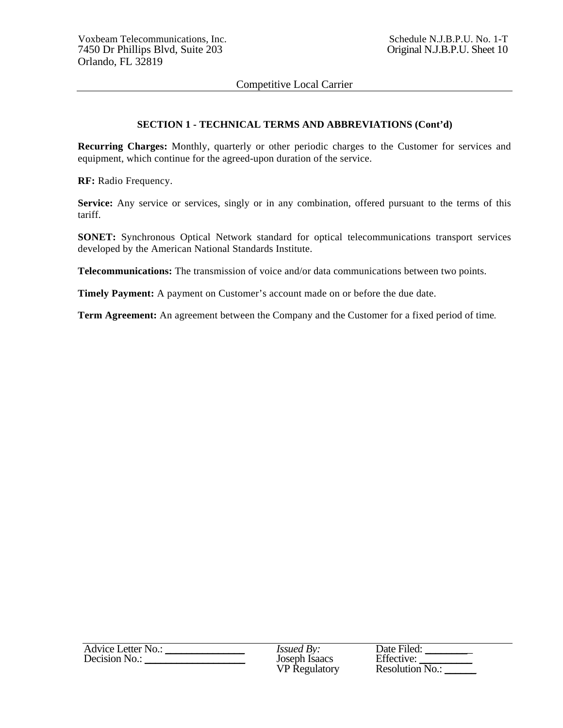### **SECTION 1 - TECHNICAL TERMS AND ABBREVIATIONS (Cont'd)**

**Recurring Charges:** Monthly, quarterly or other periodic charges to the Customer for services and equipment, which continue for the agreed-upon duration of the service.

**RF:** Radio Frequency.

**Service:** Any service or services, singly or in any combination, offered pursuant to the terms of this tariff.

**SONET:** Synchronous Optical Network standard for optical telecommunications transport services developed by the American National Standards Institute.

**Telecommunications:** The transmission of voice and/or data communications between two points.

**Timely Payment:** A payment on Customer's account made on or before the due date.

**Term Agreement:** An agreement between the Company and the Customer for a fixed period of time*.*

| Advice Letter No.: | <i>Issued By:</i>    | Date Filed:     |
|--------------------|----------------------|-----------------|
| Decision No.:      | Joseph Isaacs        | Effective:      |
|                    | <b>VP</b> Regulatory | Resolution No.: |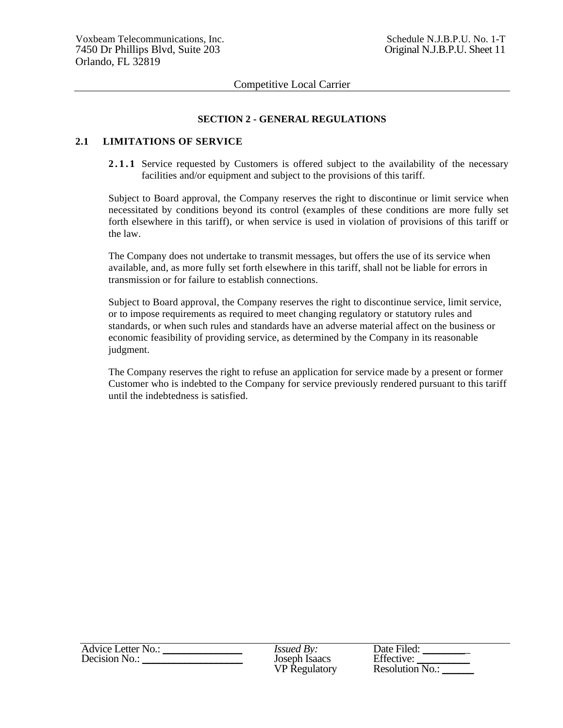#### **SECTION 2 - GENERAL REGULATIONS**

#### **2.1 LIMITATIONS OF SERVICE**

2.1.1 Service requested by Customers is offered subject to the availability of the necessary facilities and/or equipment and subject to the provisions of this tariff.

Subject to Board approval, the Company reserves the right to discontinue or limit service when necessitated by conditions beyond its control (examples of these conditions are more fully set forth elsewhere in this tariff), or when service is used in violation of provisions of this tariff or the law.

The Company does not undertake to transmit messages, but offers the use of its service when available, and, as more fully set forth elsewhere in this tariff, shall not be liable for errors in transmission or for failure to establish connections.

Subject to Board approval, the Company reserves the right to discontinue service, limit service, or to impose requirements as required to meet changing regulatory or statutory rules and standards, or when such rules and standards have an adverse material affect on the business or economic feasibility of providing service, as determined by the Company in its reasonable judgment.

The Company reserves the right to refuse an application for service made by a present or former Customer who is indebted to the Company for service previously rendered pursuant to this tariff until the indebtedness is satisfied.

| <b>Advice Letter No.:</b> | <i>Issued By:</i>    | Date Filed:            |
|---------------------------|----------------------|------------------------|
| Decision No.:             | Joseph Isaacs        | Effective:             |
|                           | <b>VP</b> Regulatory | <b>Resolution No.:</b> |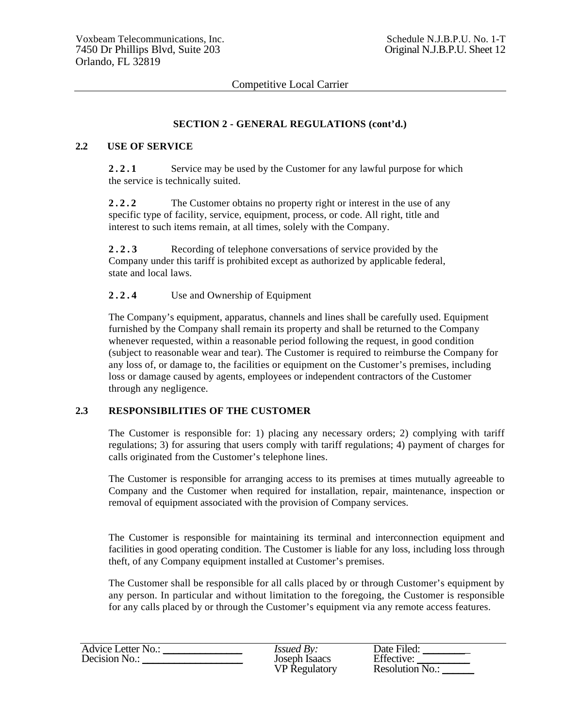### **SECTION 2 - GENERAL REGULATIONS (cont'd.)**

### **2.2 USE OF SERVICE**

2.2.1 Service may be used by the Customer for any lawful purpose for which the service is technically suited.

2.2.2 The Customer obtains no property right or interest in the use of any specific type of facility, service, equipment, process, or code. All right, title and interest to such items remain, at all times, solely with the Company.

**2.2.3** Recording of telephone conversations of service provided by the Company under this tariff is prohibited except as authorized by applicable federal, state and local laws.

**2.2.4** Use and Ownership of Equipment

The Company's equipment, apparatus, channels and lines shall be carefully used. Equipment furnished by the Company shall remain its property and shall be returned to the Company whenever requested, within a reasonable period following the request, in good condition (subject to reasonable wear and tear). The Customer is required to reimburse the Company for any loss of, or damage to, the facilities or equipment on the Customer's premises, including loss or damage caused by agents, employees or independent contractors of the Customer through any negligence.

### **2.3 RESPONSIBILITIES OF THE CUSTOMER**

The Customer is responsible for: 1) placing any necessary orders; 2) complying with tariff regulations; 3) for assuring that users comply with tariff regulations; 4) payment of charges for calls originated from the Customer's telephone lines.

The Customer is responsible for arranging access to its premises at times mutually agreeable to Company and the Customer when required for installation, repair, maintenance, inspection or removal of equipment associated with the provision of Company services.

The Customer is responsible for maintaining its terminal and interconnection equipment and facilities in good operating condition. The Customer is liable for any loss, including loss through theft, of any Company equipment installed at Customer's premises.

The Customer shall be responsible for all calls placed by or through Customer's equipment by any person. In particular and without limitation to the foregoing, the Customer is responsible for any calls placed by or through the Customer's equipment via any remote access features.

| <b>Advice Letter No.:</b> | <i>Issued By:</i>    | Date Filed:        |
|---------------------------|----------------------|--------------------|
| Decision No.:             | Joseph Isaacs        | Effective:         |
|                           | <b>VP</b> Regulatory | Resolution $No.$ : |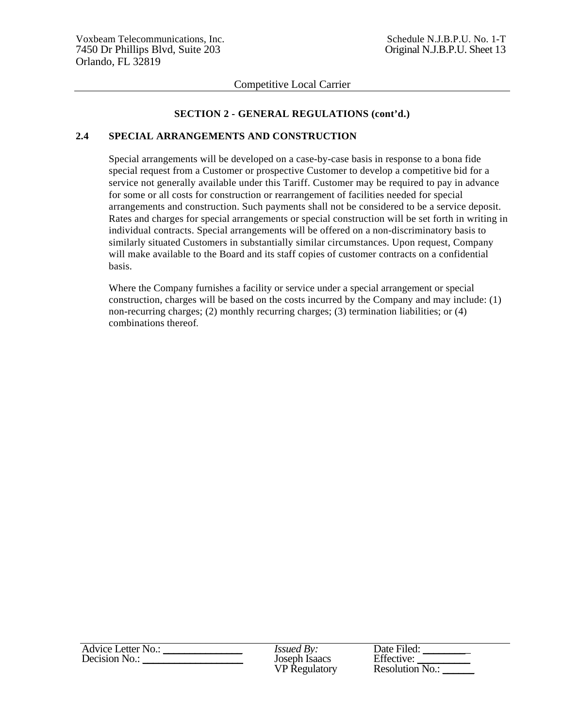### **SECTION 2 - GENERAL REGULATIONS (cont'd.)**

## **2.4 SPECIAL ARRANGEMENTS AND CONSTRUCTION**

Special arrangements will be developed on a case-by-case basis in response to a bona fide special request from a Customer or prospective Customer to develop a competitive bid for a service not generally available under this Tariff. Customer may be required to pay in advance for some or all costs for construction or rearrangement of facilities needed for special arrangements and construction. Such payments shall not be considered to be a service deposit. Rates and charges for special arrangements or special construction will be set forth in writing in individual contracts. Special arrangements will be offered on a non-discriminatory basis to similarly situated Customers in substantially similar circumstances. Upon request, Company will make available to the Board and its staff copies of customer contracts on a confidential basis.

Where the Company furnishes a facility or service under a special arrangement or special construction, charges will be based on the costs incurred by the Company and may include: (1) non-recurring charges; (2) monthly recurring charges; (3) termination liabilities; or (4) combinations thereof*.*

| <b>Advice Letter No.:</b> | <i>Issued By:</i>    | Date Filed:     |
|---------------------------|----------------------|-----------------|
| Decision No.:             | Joseph Isaacs        | Effective:      |
|                           | <b>VP</b> Regulatory | Resolution No.: |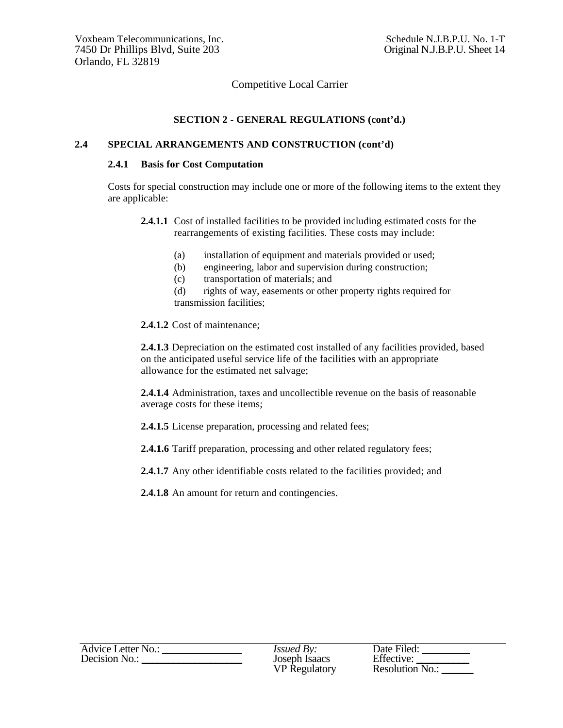### **SECTION 2 - GENERAL REGULATIONS (cont'd.)**

#### **2.4 SPECIAL ARRANGEMENTS AND CONSTRUCTION (cont'd)**

#### **2.4.1 Basis for Cost Computation**

Costs for special construction may include one or more of the following items to the extent they are applicable:

- **2.4.1.1** Cost of installed facilities to be provided including estimated costs for the rearrangements of existing facilities. These costs may include:
	- (a) installation of equipment and materials provided or used;
	- (b) engineering, labor and supervision during construction;
	- (c) transportation of materials; and
	- (d) rights of way, easements or other property rights required for transmission facilities;
- **2.4.1.2** Cost of maintenance;

**2.4.1.3** Depreciation on the estimated cost installed of any facilities provided, based on the anticipated useful service life of the facilities with an appropriate allowance for the estimated net salvage;

**2.4.1.4** Administration, taxes and uncollectible revenue on the basis of reasonable average costs for these items;

**2.4.1.5** License preparation, processing and related fees;

**2.4.1.6** Tariff preparation, processing and other related regulatory fees;

**2.4.1.7** Any other identifiable costs related to the facilities provided; and

**2.4.1.8** An amount for return and contingencies.

| Advice Letter No.: | <i>Issued By:</i>    | Date Filed:     |
|--------------------|----------------------|-----------------|
| Decision No.:      | Joseph Isaacs        | Effective:      |
|                    | <b>VP Regulatory</b> | Resolution No.: |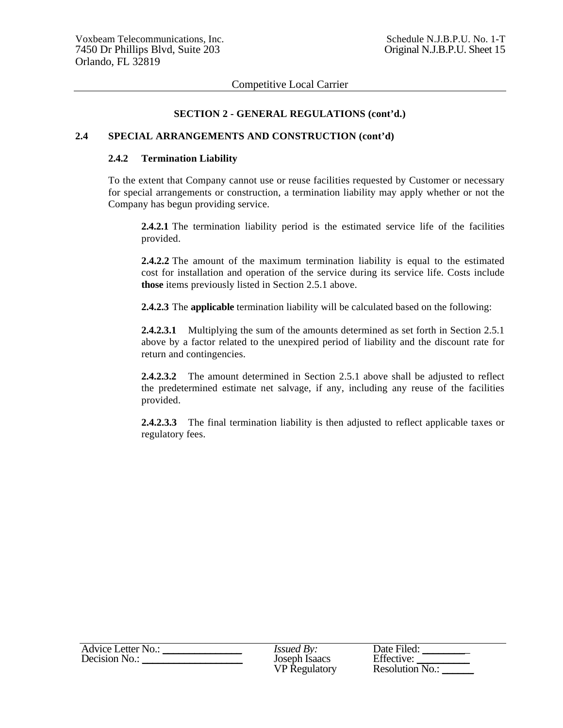### **SECTION 2 - GENERAL REGULATIONS (cont'd.)**

### **2.4 SPECIAL ARRANGEMENTS AND CONSTRUCTION (cont'd)**

#### **2.4.2 Termination Liability**

To the extent that Company cannot use or reuse facilities requested by Customer or necessary for special arrangements or construction, a termination liability may apply whether or not the Company has begun providing service.

**2.4.2.1** The termination liability period is the estimated service life of the facilities provided.

**2.4.2.2** The amount of the maximum termination liability is equal to the estimated cost for installation and operation of the service during its service life. Costs include **those** items previously listed in Section 2.5.1 above.

**2.4.2.3** The **applicable** termination liability will be calculated based on the following:

**2.4.2.3.1** Multiplying the sum of the amounts determined as set forth in Section 2.5.1 above by a factor related to the unexpired period of liability and the discount rate for return and contingencies.

**2.4.2.3.2** The amount determined in Section 2.5.1 above shall be adjusted to reflect the predetermined estimate net salvage, if any, including any reuse of the facilities provided.

**2.4.2.3.3** The final termination liability is then adjusted to reflect applicable taxes or regulatory fees.

| <b>Advice Letter No.:</b> | <i>Issued By:</i>    | Date Filed:     |
|---------------------------|----------------------|-----------------|
| Decision No.:             | Joseph Isaacs        | Effective:      |
|                           | <b>VP</b> Regulatory | Resolution No.: |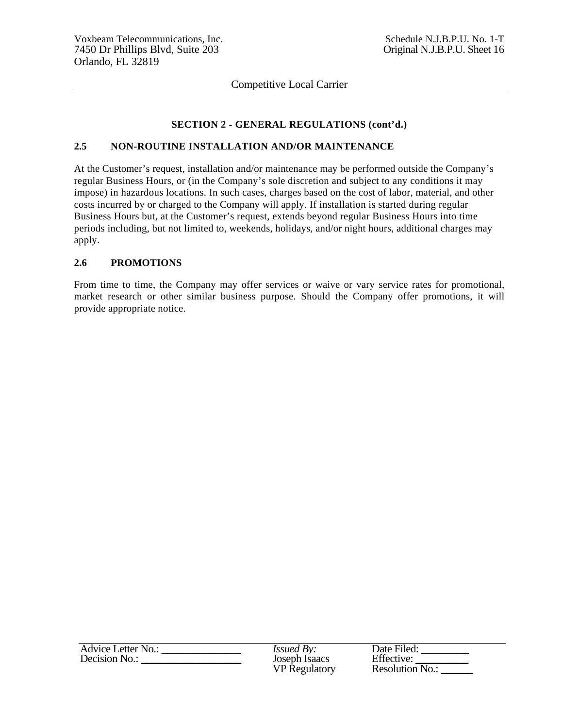## **SECTION 2 - GENERAL REGULATIONS (cont'd.)**

## **2.5 NON-ROUTINE INSTALLATION AND/OR MAINTENANCE**

At the Customer's request, installation and/or maintenance may be performed outside the Company's regular Business Hours, or (in the Company's sole discretion and subject to any conditions it may impose) in hazardous locations. In such cases, charges based on the cost of labor, material, and other costs incurred by or charged to the Company will apply. If installation is started during regular Business Hours but, at the Customer's request, extends beyond regular Business Hours into time periods including, but not limited to, weekends, holidays, and/or night hours, additional charges may apply.

## **2.6 PROMOTIONS**

From time to time, the Company may offer services or waive or vary service rates for promotional, market research or other similar business purpose. Should the Company offer promotions, it will provide appropriate notice.

| <b>Advice Letter No.:</b> | <i>Issued By:</i>    | Date Filed:       |
|---------------------------|----------------------|-------------------|
| Decision No.:             | Joseph Isaacs        | Effective:        |
|                           | <b>VP</b> Regulatory | Resolution $N0$ . |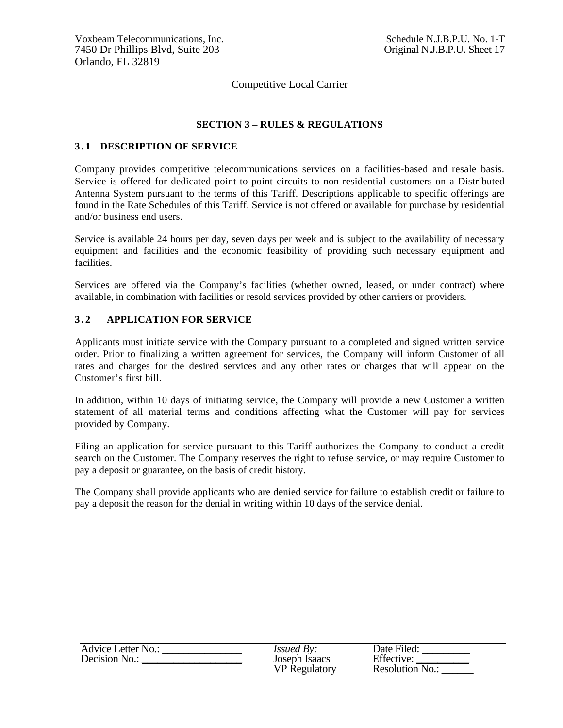## **SECTION 3 – RULES & REGULATIONS**

### **3 . 1 DESCRIPTION OF SERVICE**

Company provides competitive telecommunications services on a facilities-based and resale basis. Service is offered for dedicated point-to-point circuits to non-residential customers on a Distributed Antenna System pursuant to the terms of this Tariff. Descriptions applicable to specific offerings are found in the Rate Schedules of this Tariff. Service is not offered or available for purchase by residential and/or business end users.

Service is available 24 hours per day, seven days per week and is subject to the availability of necessary equipment and facilities and the economic feasibility of providing such necessary equipment and facilities.

Services are offered via the Company's facilities (whether owned, leased, or under contract) where available, in combination with facilities or resold services provided by other carriers or providers.

## **3 . 2 APPLICATION FOR SERVICE**

Applicants must initiate service with the Company pursuant to a completed and signed written service order. Prior to finalizing a written agreement for services, the Company will inform Customer of all rates and charges for the desired services and any other rates or charges that will appear on the Customer's first bill.

In addition, within 10 days of initiating service, the Company will provide a new Customer a written statement of all material terms and conditions affecting what the Customer will pay for services provided by Company.

Filing an application for service pursuant to this Tariff authorizes the Company to conduct a credit search on the Customer. The Company reserves the right to refuse service, or may require Customer to pay a deposit or guarantee, on the basis of credit history.

The Company shall provide applicants who are denied service for failure to establish credit or failure to pay a deposit the reason for the denial in writing within 10 days of the service denial.

| Advice Letter No.: | <i>Issued By:</i>    | Date Filed:       |
|--------------------|----------------------|-------------------|
| Decision No.:      | Joseph Isaacs        | Effective:        |
|                    | <b>VP</b> Regulatory | Resolution $N0$ . |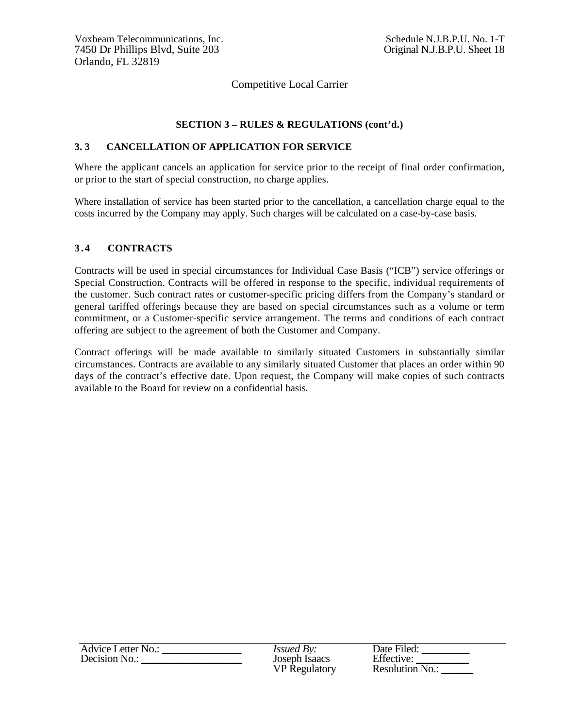## **SECTION 3 – RULES & REGULATIONS (cont'd.)**

## **3. 3 CANCELLATION OF APPLICATION FOR SERVICE**

Where the applicant cancels an application for service prior to the receipt of final order confirmation, or prior to the start of special construction, no charge applies.

Where installation of service has been started prior to the cancellation, a cancellation charge equal to the costs incurred by the Company may apply. Such charges will be calculated on a case-by-case basis.

### **3 . 4 CONTRACTS**

Contracts will be used in special circumstances for Individual Case Basis ("ICB") service offerings or Special Construction. Contracts will be offered in response to the specific, individual requirements of the customer. Such contract rates or customer-specific pricing differs from the Company's standard or general tariffed offerings because they are based on special circumstances such as a volume or term commitment, or a Customer-specific service arrangement. The terms and conditions of each contract offering are subject to the agreement of both the Customer and Company.

Contract offerings will be made available to similarly situated Customers in substantially similar circumstances. Contracts are available to any similarly situated Customer that places an order within 90 days of the contract's effective date. Upon request, the Company will make copies of such contracts available to the Board for review on a confidential basis.

| Advice Letter No.: | <i>Issued By:</i>    | Date Filed:     |
|--------------------|----------------------|-----------------|
| Decision No.:      | Joseph Isaacs        | Effective:      |
|                    | <b>VP</b> Regulatory | Resolution No.: |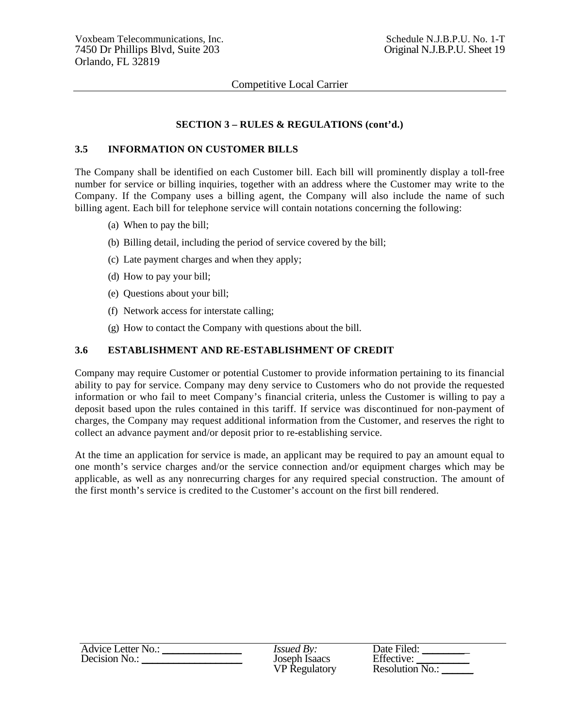## **SECTION 3 – RULES & REGULATIONS (cont'd.)**

### **3.5 INFORMATION ON CUSTOMER BILLS**

The Company shall be identified on each Customer bill. Each bill will prominently display a toll-free number for service or billing inquiries, together with an address where the Customer may write to the Company. If the Company uses a billing agent, the Company will also include the name of such billing agent. Each bill for telephone service will contain notations concerning the following:

- (a) When to pay the bill;
- (b) Billing detail, including the period of service covered by the bill;
- (c) Late payment charges and when they apply;
- (d) How to pay your bill;
- (e) Questions about your bill;
- (f) Network access for interstate calling;
- (g) How to contact the Company with questions about the bill.

#### **3.6 ESTABLISHMENT AND RE-ESTABLISHMENT OF CREDIT**

Company may require Customer or potential Customer to provide information pertaining to its financial ability to pay for service. Company may deny service to Customers who do not provide the requested information or who fail to meet Company's financial criteria, unless the Customer is willing to pay a deposit based upon the rules contained in this tariff. If service was discontinued for non-payment of charges, the Company may request additional information from the Customer, and reserves the right to collect an advance payment and/or deposit prior to re-establishing service.

At the time an application for service is made, an applicant may be required to pay an amount equal to one month's service charges and/or the service connection and/or equipment charges which may be applicable, as well as any nonrecurring charges for any required special construction. The amount of the first month's service is credited to the Customer's account on the first bill rendered.

| <b>Advice Letter No.:</b> | <i>Issued By:</i>    | Date Filed:                   |
|---------------------------|----------------------|-------------------------------|
| Decision No.:             | Joseph Isaacs        | Effective:                    |
|                           | <b>VP Regulatory</b> | Resolution $N$ <sub>0</sub> . |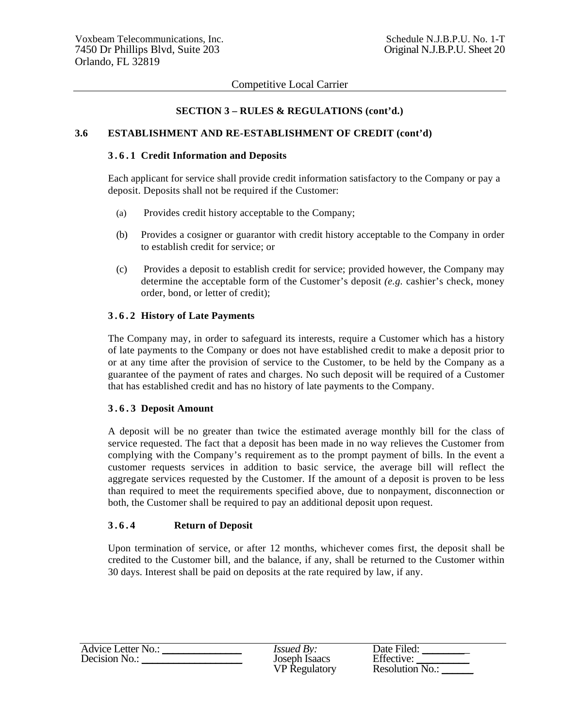## **SECTION 3 – RULES & REGULATIONS (cont'd.)**

### **3.6 ESTABLISHMENT AND RE-ESTABLISHMENT OF CREDIT (cont'd)**

#### **3 . 6 . 1 Credit Information and Deposits**

Each applicant for service shall provide credit information satisfactory to the Company or pay a deposit. Deposits shall not be required if the Customer:

- (a) Provides credit history acceptable to the Company;
- (b) Provides a cosigner or guarantor with credit history acceptable to the Company in order to establish credit for service; or
- (c) Provides a deposit to establish credit for service; provided however, the Company may determine the acceptable form of the Customer's deposit *(e.g.* cashier's check, money order, bond, or letter of credit);

## **3 . 6 . 2 History of Late Payments**

The Company may, in order to safeguard its interests, require a Customer which has a history of late payments to the Company or does not have established credit to make a deposit prior to or at any time after the provision of service to the Customer, to be held by the Company as a guarantee of the payment of rates and charges. No such deposit will be required of a Customer that has established credit and has no history of late payments to the Company.

### **3 . 6 . 3 Deposit Amount**

A deposit will be no greater than twice the estimated average monthly bill for the class of service requested. The fact that a deposit has been made in no way relieves the Customer from complying with the Company's requirement as to the prompt payment of bills. In the event a customer requests services in addition to basic service, the average bill will reflect the aggregate services requested by the Customer. If the amount of a deposit is proven to be less than required to meet the requirements specified above, due to nonpayment, disconnection or both, the Customer shall be required to pay an additional deposit upon request.

### **3 . 6 . 4 Return of Deposit**

Upon termination of service, or after 12 months, whichever comes first, the deposit shall be credited to the Customer bill, and the balance, if any, shall be returned to the Customer within 30 days. Interest shall be paid on deposits at the rate required by law, if any.

| <b>Advice Letter No.:</b> | <i>Issued By:</i>    | Date Filed:       |
|---------------------------|----------------------|-------------------|
| Decision No.:             | Joseph Isaacs        | Effective:        |
|                           | <b>VP</b> Regulatory | Resolution $N0$ . |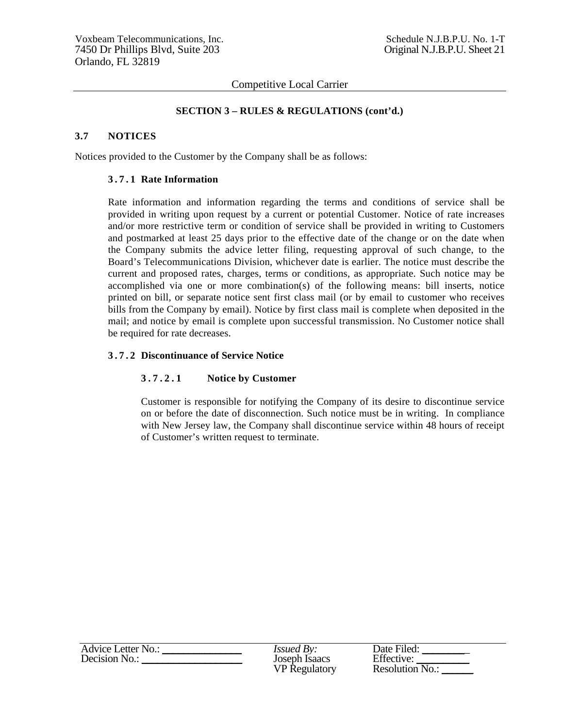### **SECTION 3 – RULES & REGULATIONS (cont'd.)**

### **3.7 NOTICES**

Notices provided to the Customer by the Company shall be as follows:

#### **3 . 7 . 1 Rate Information**

Rate information and information regarding the terms and conditions of service shall be provided in writing upon request by a current or potential Customer. Notice of rate increases and/or more restrictive term or condition of service shall be provided in writing to Customers and postmarked at least 25 days prior to the effective date of the change or on the date when the Company submits the advice letter filing, requesting approval of such change, to the Board's Telecommunications Division, whichever date is earlier. The notice must describe the current and proposed rates, charges, terms or conditions, as appropriate. Such notice may be accomplished via one or more combination(s) of the following means: bill inserts, notice printed on bill, or separate notice sent first class mail (or by email to customer who receives bills from the Company by email). Notice by first class mail is complete when deposited in the mail; and notice by email is complete upon successful transmission. No Customer notice shall be required for rate decreases.

#### **3 . 7 . 2 Discontinuance of Service Notice**

### **3 . 7 . 2 . 1 Notice by Customer**

Customer is responsible for notifying the Company of its desire to discontinue service on or before the date of disconnection. Such notice must be in writing. In compliance with New Jersey law, the Company shall discontinue service within 48 hours of receipt of Customer's written request to terminate.

| <b>Advice Letter No.:</b> | <i>Issued By:</i>    | Date Filed:            |
|---------------------------|----------------------|------------------------|
| Decision No.:             | Joseph Isaacs        | Effective:             |
|                           | <b>VP</b> Regulatory | <b>Resolution No.:</b> |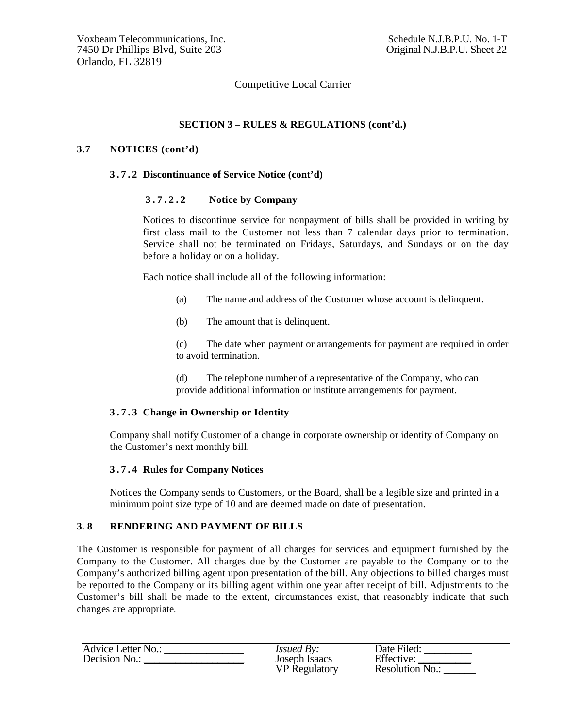## **SECTION 3 – RULES & REGULATIONS (cont'd.)**

#### **3.7 NOTICES (cont'd)**

#### **3 . 7 . 2 Discontinuance of Service Notice (cont'd)**

#### **3 . 7 . 2 . 2 Notice by Company**

Notices to discontinue service for nonpayment of bills shall be provided in writing by first class mail to the Customer not less than 7 calendar days prior to termination. Service shall not be terminated on Fridays, Saturdays, and Sundays or on the day before a holiday or on a holiday.

Each notice shall include all of the following information:

- (a) The name and address of the Customer whose account is delinquent.
- (b) The amount that is delinquent.

(c) The date when payment or arrangements for payment are required in order to avoid termination.

(d) The telephone number of a representative of the Company, who can provide additional information or institute arrangements for payment.

#### **3 . 7 . 3 Change in Ownership or Identity**

Company shall notify Customer of a change in corporate ownership or identity of Company on the Customer's next monthly bill.

#### **3 . 7 . 4 Rules for Company Notices**

Notices the Company sends to Customers, or the Board, shall be a legible size and printed in a minimum point size type of 10 and are deemed made on date of presentation.

### **3. 8 RENDERING AND PAYMENT OF BILLS**

The Customer is responsible for payment of all charges for services and equipment furnished by the Company to the Customer. All charges due by the Customer are payable to the Company or to the Company's authorized billing agent upon presentation of the bill. Any objections to billed charges must be reported to the Company or its billing agent within one year after receipt of bill. Adjustments to the Customer's bill shall be made to the extent, circumstances exist, that reasonably indicate that such changes are appropriate*.*

| Advice Letter No.: | <i>Issued By:</i>    | Date Filed:       |
|--------------------|----------------------|-------------------|
| Decision No.:      | Joseph Isaacs        | Effective:        |
|                    | <b>VP</b> Regulatory | Resolution $N0$ . |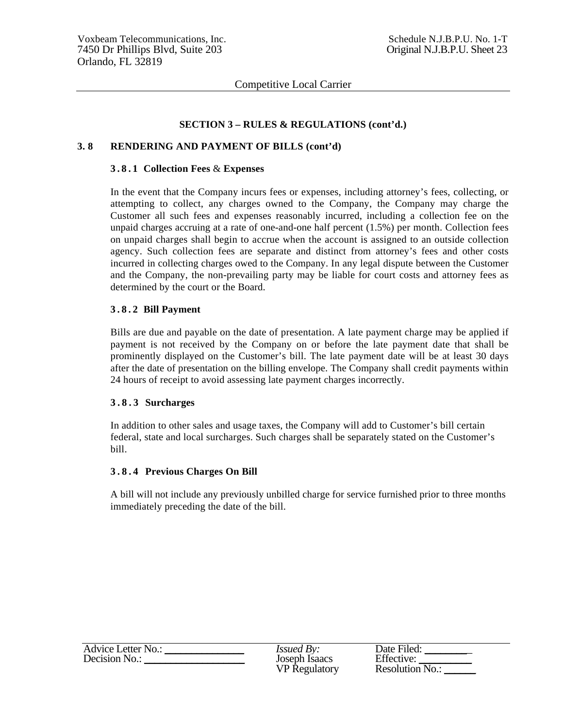## **SECTION 3 – RULES & REGULATIONS (cont'd.)**

## **3. 8 RENDERING AND PAYMENT OF BILLS (cont'd)**

#### **3 . 8 . 1 Collection Fees** & **Expenses**

In the event that the Company incurs fees or expenses, including attorney's fees, collecting, or attempting to collect, any charges owned to the Company, the Company may charge the Customer all such fees and expenses reasonably incurred, including a collection fee on the unpaid charges accruing at a rate of one-and-one half percent (1.5%) per month. Collection fees on unpaid charges shall begin to accrue when the account is assigned to an outside collection agency. Such collection fees are separate and distinct from attorney's fees and other costs incurred in collecting charges owed to the Company. In any legal dispute between the Customer and the Company, the non-prevailing party may be liable for court costs and attorney fees as determined by the court or the Board.

#### **3 . 8 . 2 Bill Payment**

Bills are due and payable on the date of presentation. A late payment charge may be applied if payment is not received by the Company on or before the late payment date that shall be prominently displayed on the Customer's bill. The late payment date will be at least 30 days after the date of presentation on the billing envelope. The Company shall credit payments within 24 hours of receipt to avoid assessing late payment charges incorrectly.

#### **3 . 8 . 3 Surcharges**

In addition to other sales and usage taxes, the Company will add to Customer's bill certain federal, state and local surcharges. Such charges shall be separately stated on the Customer's bill.

#### **3 . 8 . 4 Previous Charges On Bill**

A bill will not include any previously unbilled charge for service furnished prior to three months immediately preceding the date of the bill.

| <b>Advice Letter No.:</b> | <i>Issued By:</i>    | Date Filed:            |
|---------------------------|----------------------|------------------------|
| Decision No.:             | Joseph Isaacs        | Effective:             |
|                           | <b>VP</b> Regulatory | <b>Resolution No.:</b> |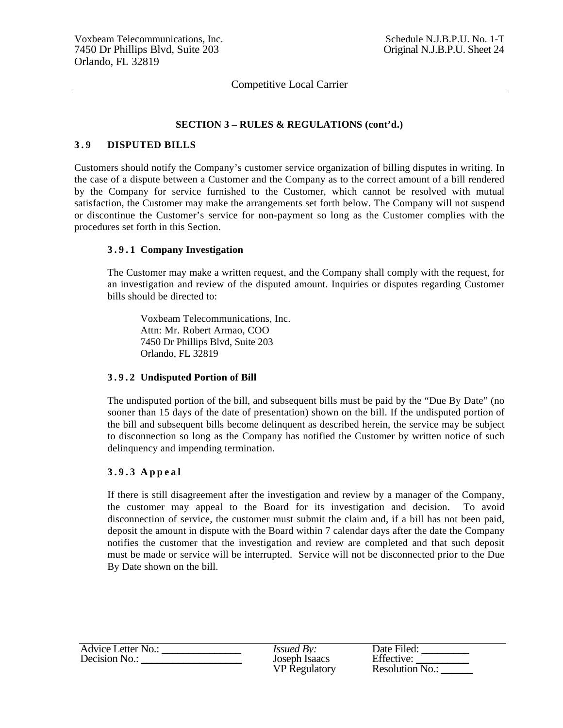### **SECTION 3 – RULES & REGULATIONS (cont'd.)**

#### **3 . 9 DISPUTED BILLS**

Customers should notify the Company's customer service organization of billing disputes in writing. In the case of a dispute between a Customer and the Company as to the correct amount of a bill rendered by the Company for service furnished to the Customer, which cannot be resolved with mutual satisfaction, the Customer may make the arrangements set forth below. The Company will not suspend or discontinue the Customer's service for non-payment so long as the Customer complies with the procedures set forth in this Section.

#### **3 . 9 . 1 Company Investigation**

The Customer may make a written request, and the Company shall comply with the request, for an investigation and review of the disputed amount. Inquiries or disputes regarding Customer bills should be directed to:

Voxbeam Telecommunications, Inc. Attn: Mr. Robert Armao, COO 7450 Dr Phillips Blvd, Suite 203 Orlando, FL 32819

#### **3 . 9 . 2 Undisputed Portion of Bill**

The undisputed portion of the bill, and subsequent bills must be paid by the "Due By Date" (no sooner than 15 days of the date of presentation) shown on the bill. If the undisputed portion of the bill and subsequent bills become delinquent as described herein, the service may be subject to disconnection so long as the Company has notified the Customer by written notice of such delinquency and impending termination.

#### **3 . 9 . 3 A p p e a l**

If there is still disagreement after the investigation and review by a manager of the Company, the customer may appeal to the Board for its investigation and decision. To avoid disconnection of service, the customer must submit the claim and, if a bill has not been paid, deposit the amount in dispute with the Board within 7 calendar days after the date the Company notifies the customer that the investigation and review are completed and that such deposit must be made or service will be interrupted. Service will not be disconnected prior to the Due By Date shown on the bill.

| Advice Letter No.: | <i>Issued By:</i>    | Date Filed:            |
|--------------------|----------------------|------------------------|
| Decision No.:      | Joseph Isaacs        | Effective:             |
|                    | <b>VP</b> Regulatory | <b>Resolution No.:</b> |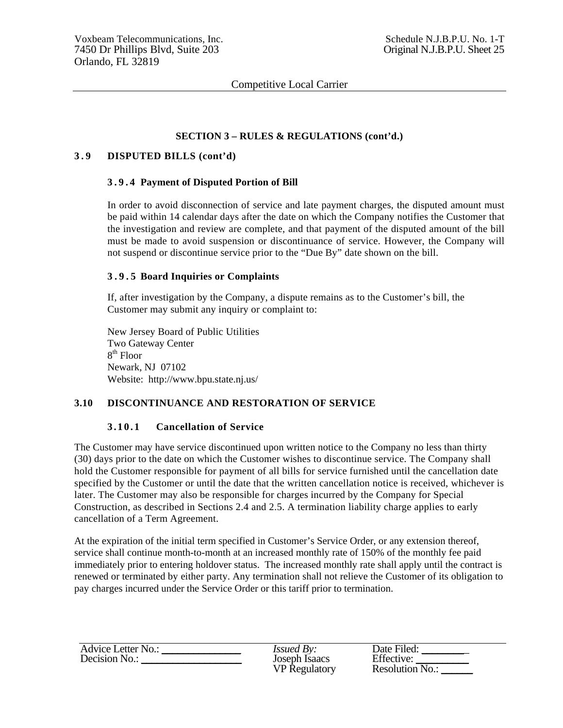### **SECTION 3 – RULES & REGULATIONS (cont'd.)**

### **3 . 9 DISPUTED BILLS (cont'd)**

#### **3 . 9 . 4 Payment of Disputed Portion of Bill**

In order to avoid disconnection of service and late payment charges, the disputed amount must be paid within 14 calendar days after the date on which the Company notifies the Customer that the investigation and review are complete, and that payment of the disputed amount of the bill must be made to avoid suspension or discontinuance of service. However, the Company will not suspend or discontinue service prior to the "Due By" date shown on the bill.

#### **3 . 9 . 5 Board Inquiries or Complaints**

If, after investigation by the Company, a dispute remains as to the Customer's bill, the Customer may submit any inquiry or complaint to:

New Jersey Board of Public Utilities Two Gateway Center  $8<sup>th</sup>$  Floor Newark, NJ 07102 Website: http://www.bpu.state.nj.us/

### **3.10 DISCONTINUANCE AND RESTORATION OF SERVICE**

#### **3.10.1 Cancellation of Service**

The Customer may have service discontinued upon written notice to the Company no less than thirty (30) days prior to the date on which the Customer wishes to discontinue service. The Company shall hold the Customer responsible for payment of all bills for service furnished until the cancellation date specified by the Customer or until the date that the written cancellation notice is received, whichever is later. The Customer may also be responsible for charges incurred by the Company for Special Construction, as described in Sections 2.4 and 2.5. A termination liability charge applies to early cancellation of a Term Agreement.

At the expiration of the initial term specified in Customer's Service Order, or any extension thereof, service shall continue month-to-month at an increased monthly rate of 150% of the monthly fee paid immediately prior to entering holdover status. The increased monthly rate shall apply until the contract is renewed or terminated by either party. Any termination shall not relieve the Customer of its obligation to pay charges incurred under the Service Order or this tariff prior to termination.

| Advice Letter No.: | <i>Issued By:</i>    | Date Filed:       |
|--------------------|----------------------|-------------------|
| Decision No.:      | Joseph Isaacs        | Effective:        |
|                    | <b>VP</b> Regulatory | Resolution $N0$ . |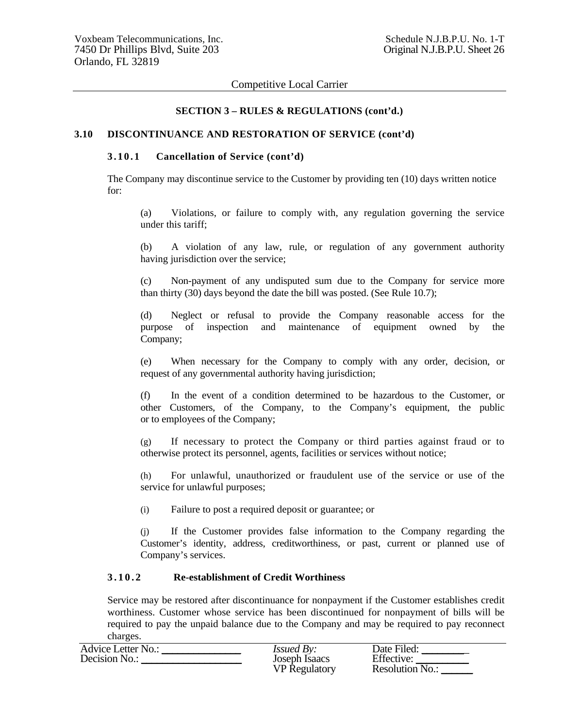### **SECTION 3 – RULES & REGULATIONS (cont'd.)**

#### **3.10 DISCONTINUANCE AND RESTORATION OF SERVICE (cont'd)**

### **3 . 1 0 . 1 Cancellation of Service (cont'd)**

The Company may discontinue service to the Customer by providing ten (10) days written notice for:

(a) Violations, or failure to comply with, any regulation governing the service under this tariff;

(b) A violation of any law, rule, or regulation of any government authority having jurisdiction over the service;

(c) Non-payment of any undisputed sum due to the Company for service more than thirty (30) days beyond the date the bill was posted. (See Rule 10.7);

(d) Neglect or refusal to provide the Company reasonable access for the purpose of inspection and maintenance of equipment owned by the Company;

(e) When necessary for the Company to comply with any order, decision, or request of any governmental authority having jurisdiction;

(f) In the event of a condition determined to be hazardous to the Customer, or other Customers, of the Company, to the Company's equipment, the public or to employees of the Company;

(g) If necessary to protect the Company or third parties against fraud or to otherwise protect its personnel, agents, facilities or services without notice;

(h) For unlawful, unauthorized or fraudulent use of the service or use of the service for unlawful purposes;

(i) Failure to post a required deposit or guarantee; or

(j) If the Customer provides false information to the Company regarding the Customer's identity, address, creditworthiness, or past, current or planned use of Company's services.

#### **3.10.2 Re-establishment of Credit Worthiness**

Service may be restored after discontinuance for nonpayment if the Customer establishes credit worthiness. Customer whose service has been discontinued for nonpayment of bills will be required to pay the unpaid balance due to the Company and may be required to pay reconnect charges.

| Advice Letter No.: | <i>Issued By:</i>    | Date Filed:       |
|--------------------|----------------------|-------------------|
| Decision No.:      | Joseph Isaacs        | Effective:        |
|                    | <b>VP</b> Regulatory | Resolution $N0$ . |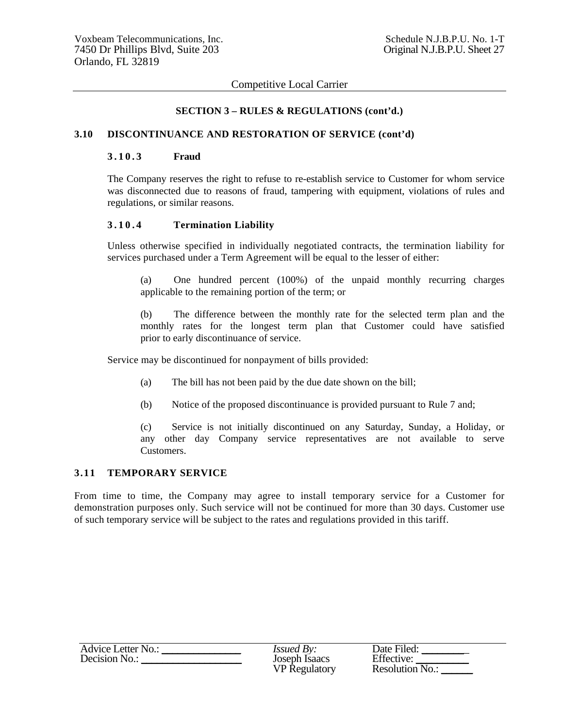### **SECTION 3 – RULES & REGULATIONS (cont'd.)**

#### **3.10 DISCONTINUANCE AND RESTORATION OF SERVICE (cont'd)**

#### **3.10.3 Fraud**

The Company reserves the right to refuse to re-establish service to Customer for whom service was disconnected due to reasons of fraud, tampering with equipment, violations of rules and regulations, or similar reasons.

#### **3 . 1 0 . 4 Termination Liability**

Unless otherwise specified in individually negotiated contracts, the termination liability for services purchased under a Term Agreement will be equal to the lesser of either:

(a) One hundred percent (100%) of the unpaid monthly recurring charges applicable to the remaining portion of the term; or

(b) The difference between the monthly rate for the selected term plan and the monthly rates for the longest term plan that Customer could have satisfied prior to early discontinuance of service.

Service may be discontinued for nonpayment of bills provided:

- (a) The bill has not been paid by the due date shown on the bill;
- (b) Notice of the proposed discontinuance is provided pursuant to Rule 7 and;

(c) Service is not initially discontinued on any Saturday, Sunday, a Holiday, or any other day Company service representatives are not available to serve Customers.

#### **3.11 TEMPORARY SERVICE**

From time to time, the Company may agree to install temporary service for a Customer for demonstration purposes only. Such service will not be continued for more than 30 days. Customer use of such temporary service will be subject to the rates and regulations provided in this tariff.

| Advice Letter No.: | <i>Issued By:</i>    | Date Filed:            |
|--------------------|----------------------|------------------------|
| Decision No.:      | Joseph Isaacs        | Effective:             |
|                    | <b>VP</b> Regulatory | <b>Resolution No.:</b> |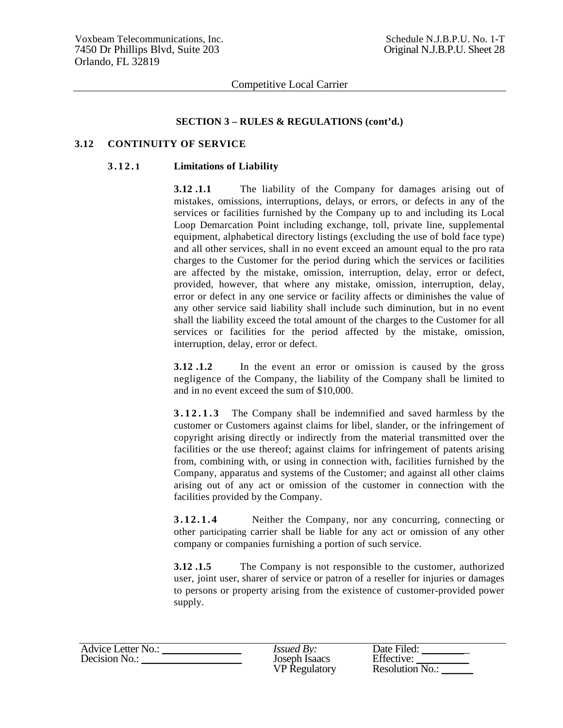#### **SECTION 3 – RULES & REGULATIONS (cont'd.)**

### **3.12 CONTINUITY OF SERVICE**

#### **3.12. 1 Limitations of Liability**

**3.12.1.1** The liability of the Company for damages arising out of mistakes, omissions, interruptions, delays, or errors, or defects in any of the services or facilities furnished by the Company up to and including its Local Loop Demarcation Point including exchange, toll, private line, supplemental equipment, alphabetical directory listings (excluding the use of bold face type) and all other services, shall in no event exceed an amount equal to the pro rata charges to the Customer for the period during which the services or facilities are affected by the mistake, omission, interruption, delay, error or defect, provided, however, that where any mistake, omission, interruption, delay, error or defect in any one service or facility affects or diminishes the value of any other service said liability shall include such diminution, but in no event shall the liability exceed the total amount of the charges to the Customer for all services or facilities for the period affected by the mistake, omission, interruption, delay, error or defect.

**3.12 .1.2** In the event an error or omission is caused by the gross negligence of the Company, the liability of the Company shall be limited to and in no event exceed the sum of \$10,000.

**3.12.1.3** The Company shall be indemnified and saved harmless by the customer or Customers against claims for libel, slander, or the infringement of copyright arising directly or indirectly from the material transmitted over the facilities or the use thereof; against claims for infringement of patents arising from, combining with, or using in connection with, facilities furnished by the Company, apparatus and systems of the Customer; and against all other claims arising out of any act or omission of the customer in connection with the facilities provided by the Company.

**3.12.1.4** Neither the Company, nor any concurring, connecting or other participating carrier shall be liable for any act or omission of any other company or companies furnishing a portion of such service.

**3.12 .1.5** The Company is not responsible to the customer, authorized user, joint user, sharer of service or patron of a reseller for injuries or damages to persons or property arising from the existence of customer-provided power supply.

| Advice Letter No.: | Issued By:           | Date Filed:            |
|--------------------|----------------------|------------------------|
| Decision No.:      | Joseph Isaacs        | Effective:             |
|                    | <b>VP</b> Regulatory | <b>Resolution No.:</b> |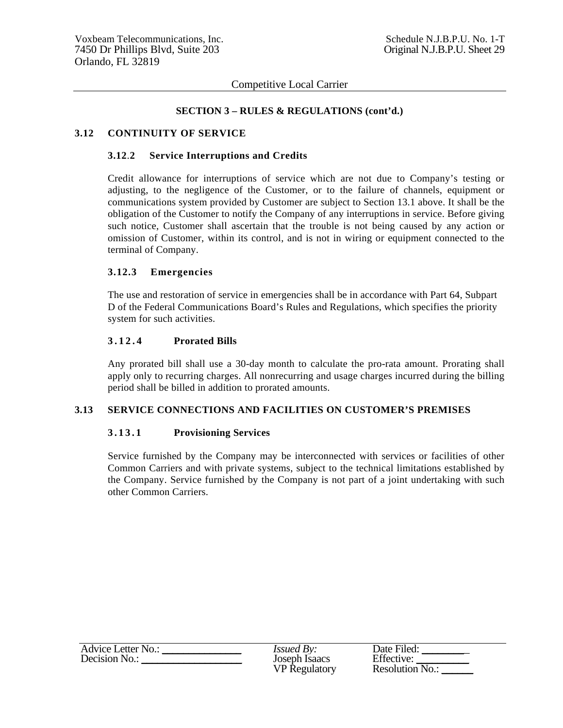#### **SECTION 3 – RULES & REGULATIONS (cont'd.)**

#### **3.12 CONTINUITY OF SERVICE**

#### **3.12**.**2 Service Interruptions and Credits**

Credit allowance for interruptions of service which are not due to Company's testing or adjusting, to the negligence of the Customer, or to the failure of channels, equipment or communications system provided by Customer are subject to Section 13.1 above. It shall be the obligation of the Customer to notify the Company of any interruptions in service. Before giving such notice, Customer shall ascertain that the trouble is not being caused by any action or omission of Customer, within its control, and is not in wiring or equipment connected to the terminal of Company.

#### **3.12.3 Emergencies**

The use and restoration of service in emergencies shall be in accordance with Part 64, Subpart D of the Federal Communications Board's Rules and Regulations, which specifies the priority system for such activities.

#### **3 . 1 2 . 4 Prorated Bills**

Any prorated bill shall use a 30-day month to calculate the pro-rata amount. Prorating shall apply only to recurring charges. All nonrecurring and usage charges incurred during the billing period shall be billed in addition to prorated amounts.

### **3.13 SERVICE CONNECTIONS AND FACILITIES ON CUSTOMER'S PREMISES**

### **3 . 1 3 . 1 Provisioning Services**

Service furnished by the Company may be interconnected with services or facilities of other Common Carriers and with private systems, subject to the technical limitations established by the Company. Service furnished by the Company is not part of a joint undertaking with such other Common Carriers.

| Advice Letter No.: | <i>Issued By:</i>    | Date Filed:     |
|--------------------|----------------------|-----------------|
| Decision No.:      | Joseph Isaacs        | Effective:      |
|                    | <b>VP</b> Regulatory | Resolution No.: |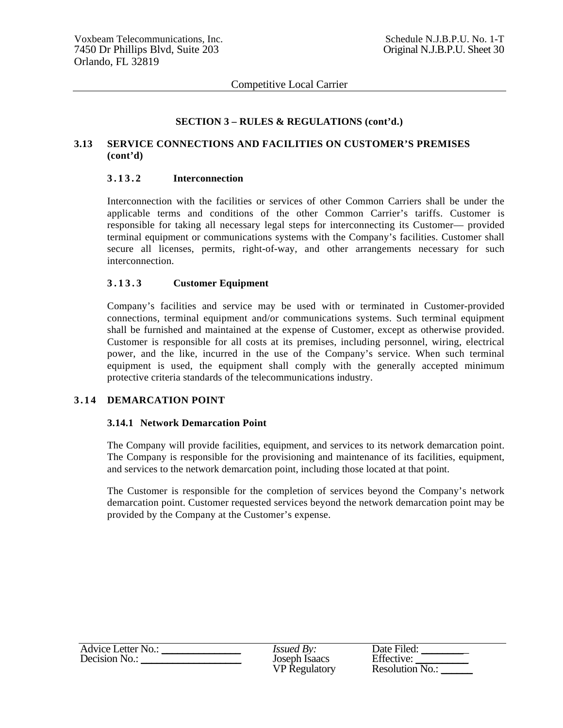### **SECTION 3 – RULES & REGULATIONS (cont'd.)**

## **3.13 SERVICE CONNECTIONS AND FACILITIES ON CUSTOMER'S PREMISES (cont'd)**

#### **3 . 1 3 . 2 Interconnection**

Interconnection with the facilities or services of other Common Carriers shall be under the applicable terms and conditions of the other Common Carrier's tariffs. Customer is responsible for taking all necessary legal steps for interconnecting its Customer— provided terminal equipment or communications systems with the Company's facilities. Customer shall secure all licenses, permits, right-of-way, and other arrangements necessary for such interconnection.

#### **3 . 1 3 . 3 Customer Equipment**

Company's facilities and service may be used with or terminated in Customer-provided connections, terminal equipment and/or communications systems. Such terminal equipment shall be furnished and maintained at the expense of Customer, except as otherwise provided. Customer is responsible for all costs at its premises, including personnel, wiring, electrical power, and the like, incurred in the use of the Company's service. When such terminal equipment is used, the equipment shall comply with the generally accepted minimum protective criteria standards of the telecommunications industry.

#### **3 . 1 4 DEMARCATION POINT**

#### **3.14.1 Network Demarcation Point**

The Company will provide facilities, equipment, and services to its network demarcation point. The Company is responsible for the provisioning and maintenance of its facilities, equipment, and services to the network demarcation point, including those located at that point.

The Customer is responsible for the completion of services beyond the Company's network demarcation point. Customer requested services beyond the network demarcation point may be provided by the Company at the Customer's expense.

| Advice Letter No.: | <i>Issued By:</i>    | Date Filed:       |
|--------------------|----------------------|-------------------|
| Decision No.:      | Joseph Isaacs        | Effective:        |
|                    | <b>VP Regulatory</b> | Resolution $N0$ . |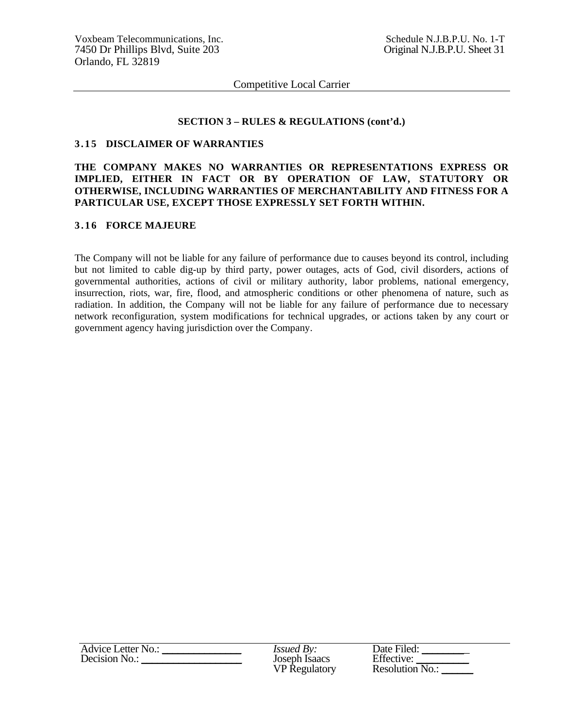#### **SECTION 3 – RULES & REGULATIONS (cont'd.)**

#### **3.15 DISCLAIMER OF WARRANTIES**

## **THE COMPANY MAKES NO WARRANTIES OR REPRESENTATIONS EXPRESS OR IMPLIED, EITHER IN FACT OR BY OPERATION OF LAW, STATUTORY OR OTHERWISE, INCLUDING WARRANTIES OF MERCHANTABILITY AND FITNESS FOR A PARTICULAR USE, EXCEPT THOSE EXPRESSLY SET FORTH WITHIN.**

#### **3 . 1 6 FORCE MAJEURE**

The Company will not be liable for any failure of performance due to causes beyond its control, including but not limited to cable dig-up by third party, power outages, acts of God, civil disorders, actions of governmental authorities, actions of civil or military authority, labor problems, national emergency, insurrection, riots, war, fire, flood, and atmospheric conditions or other phenomena of nature, such as radiation. In addition, the Company will not be liable for any failure of performance due to necessary network reconfiguration, system modifications for technical upgrades, or actions taken by any court or government agency having jurisdiction over the Company.

| Advice Letter No.: | <i>Issued By:</i>    | Date Filed:       |
|--------------------|----------------------|-------------------|
| Decision No.:      | Joseph Isaacs        | Effective:        |
|                    | <b>VP</b> Regulatory | Resolution $N0$ . |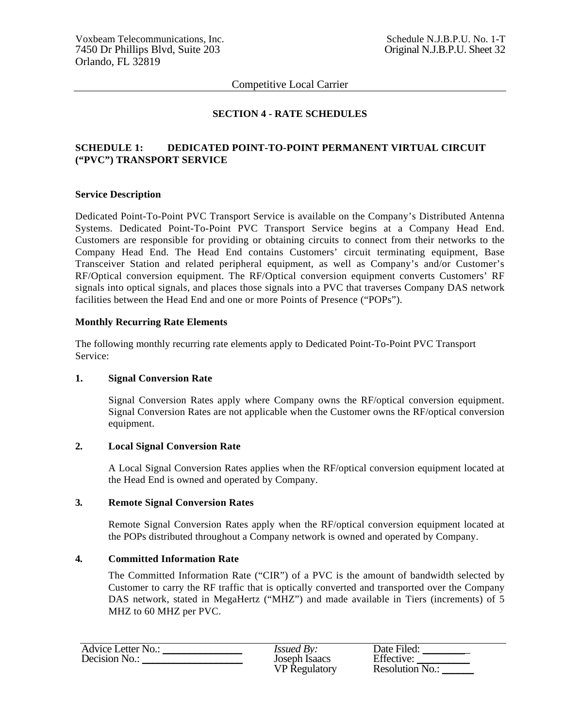## **SECTION 4 - RATE SCHEDULES**

## **SCHEDULE 1: DEDICATED POINT-TO-POINT PERMANENT VIRTUAL CIRCUIT ("PVC") TRANSPORT SERVICE**

#### **Service Description**

Dedicated Point-To-Point PVC Transport Service is available on the Company's Distributed Antenna Systems. Dedicated Point-To-Point PVC Transport Service begins at a Company Head End. Customers are responsible for providing or obtaining circuits to connect from their networks to the Company Head End. The Head End contains Customers' circuit terminating equipment, Base Transceiver Station and related peripheral equipment, as well as Company's and/or Customer's RF/Optical conversion equipment. The RF/Optical conversion equipment converts Customers' RF signals into optical signals, and places those signals into a PVC that traverses Company DAS network facilities between the Head End and one or more Points of Presence ("POPs").

#### **Monthly Recurring Rate Elements**

The following monthly recurring rate elements apply to Dedicated Point-To-Point PVC Transport Service:

#### **1. Signal Conversion Rate**

Signal Conversion Rates apply where Company owns the RF/optical conversion equipment. Signal Conversion Rates are not applicable when the Customer owns the RF/optical conversion equipment.

### **2. Local Signal Conversion Rate**

A Local Signal Conversion Rates applies when the RF/optical conversion equipment located at the Head End is owned and operated by Company.

#### **3. Remote Signal Conversion Rates**

Remote Signal Conversion Rates apply when the RF/optical conversion equipment located at the POPs distributed throughout a Company network is owned and operated by Company.

### **4. Committed Information Rate**

The Committed Information Rate ("CIR") of a PVC is the amount of bandwidth selected by Customer to carry the RF traffic that is optically converted and transported over the Company DAS network, stated in MegaHertz ("MHZ") and made available in Tiers (increments) of 5 MHZ to 60 MHZ per PVC.

| <b>Advice Letter No.:</b> | <i>Issued By:</i>    | Date Filed:       |
|---------------------------|----------------------|-------------------|
| Decision No.:             | Joseph Isaacs        | Effective:        |
|                           | <b>VP</b> Regulatory | Resolution $N0$ . |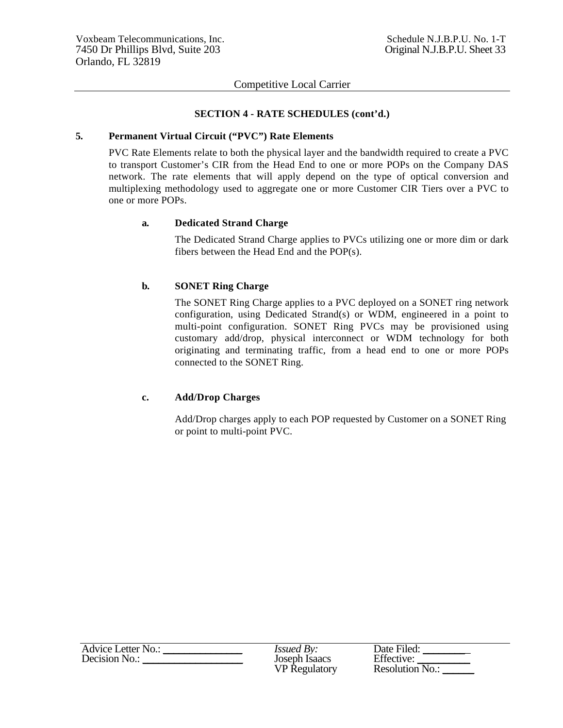#### **SECTION 4 - RATE SCHEDULES (cont'd.)**

#### **5. Permanent Virtual Circuit ("PVC") Rate Elements**

PVC Rate Elements relate to both the physical layer and the bandwidth required to create a PVC to transport Customer's CIR from the Head End to one or more POPs on the Company DAS network. The rate elements that will apply depend on the type of optical conversion and multiplexing methodology used to aggregate one or more Customer CIR Tiers over a PVC to one or more POPs.

### **a. Dedicated Strand Charge**

The Dedicated Strand Charge applies to PVCs utilizing one or more dim or dark fibers between the Head End and the POP(s).

## **b. SONET Ring Charge**

The SONET Ring Charge applies to a PVC deployed on a SONET ring network configuration, using Dedicated Strand(s) or WDM, engineered in a point to multi-point configuration. SONET Ring PVCs may be provisioned using customary add/drop, physical interconnect or WDM technology for both originating and terminating traffic, from a head end to one or more POPs connected to the SONET Ring.

## **c. Add/Drop Charges**

Add/Drop charges apply to each POP requested by Customer on a SONET Ring or point to multi-point PVC.

| Advice Letter No.: | <i>Issued By:</i>    | Date Filed:     |
|--------------------|----------------------|-----------------|
| Decision No.:      | Joseph Isaacs        | Effective:      |
|                    | <b>VP</b> Regulatory | Resolution No.: |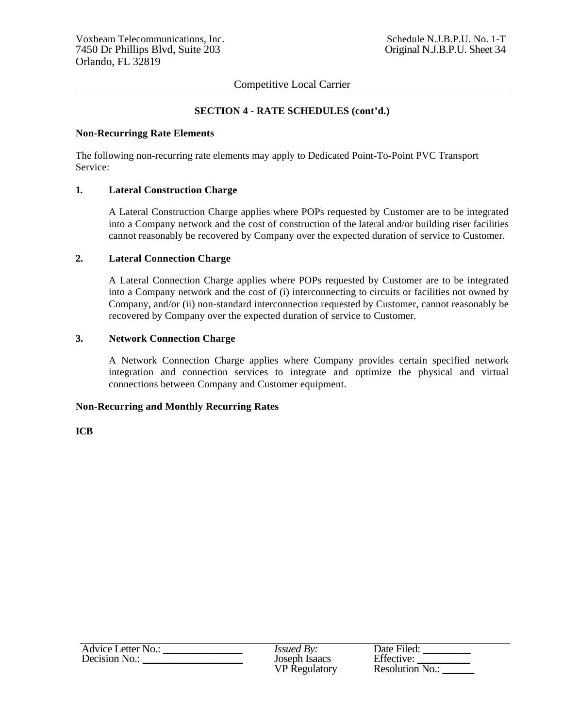### **SECTION 4 - RATE SCHEDULES (cont'd.)**

#### **Non-Recurringg Rate Elements**

The following non-recurring rate elements may apply to Dedicated Point-To-Point PVC Transport Service:

#### **1. Lateral Construction Charge**

A Lateral Construction Charge applies where POPs requested by Customer are to be integrated into a Company network and the cost of construction of the lateral and/or building riser facilities cannot reasonably be recovered by Company over the expected duration of service to Customer.

#### **2. Lateral Connection Charge**

A Lateral Connection Charge applies where POPs requested by Customer are to be integrated into a Company network and the cost of (i) interconnecting to circuits or facilities not owned by Company, and/or (ii) non-standard interconnection requested by Customer, cannot reasonably be recovered by Company over the expected duration of service to Customer.

### **3. Network Connection Charge**

A Network Connection Charge applies where Company provides certain specified network integration and connection services to integrate and optimize the physical and virtual connections between Company and Customer equipment.

#### **Non-Recurring and Monthly Recurring Rates**

**ICB** 

| Advice Letter No.: | <i>Issued By:</i>    | Date Filed:     |
|--------------------|----------------------|-----------------|
| Decision No.:      | Joseph Isaacs        | Effective:      |
|                    | <b>VP</b> Regulatory | Resolution No.: |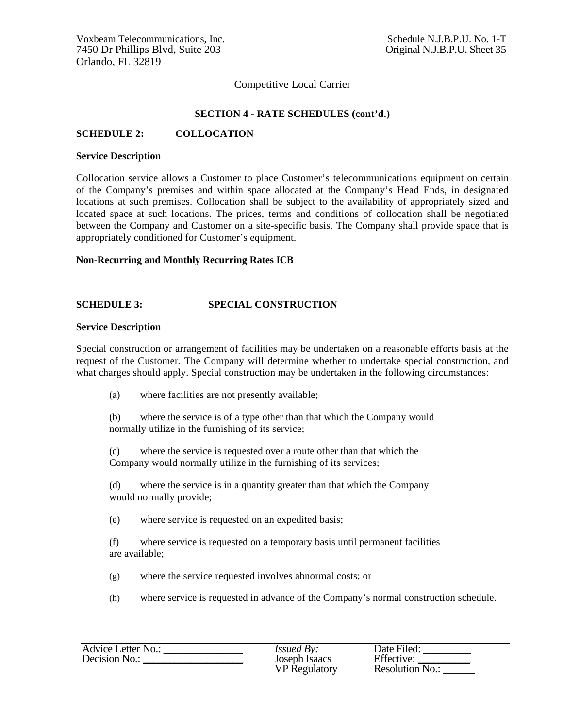#### **SECTION 4 - RATE SCHEDULES (cont'd.)**

#### **SCHEDULE 2: COLLOCATION**

#### **Service Description**

Collocation service allows a Customer to place Customer's telecommunications equipment on certain of the Company's premises and within space allocated at the Company's Head Ends, in designated locations at such premises. Collocation shall be subject to the availability of appropriately sized and located space at such locations. The prices, terms and conditions of collocation shall be negotiated between the Company and Customer on a site-specific basis. The Company shall provide space that is appropriately conditioned for Customer's equipment.

#### **Non-Recurring and Monthly Recurring Rates ICB**

#### **SCHEDULE 3: SPECIAL CONSTRUCTION**

#### **Service Description**

Special construction or arrangement of facilities may be undertaken on a reasonable efforts basis at the request of the Customer. The Company will determine whether to undertake special construction, and what charges should apply. Special construction may be undertaken in the following circumstances:

(a) where facilities are not presently available;

(b) where the service is of a type other than that which the Company would normally utilize in the furnishing of its service;

(c) where the service is requested over a route other than that which the Company would normally utilize in the furnishing of its services;

(d) where the service is in a quantity greater than that which the Company would normally provide;

(e) where service is requested on an expedited basis;

(f) where service is requested on a temporary basis until permanent facilities are available;

(g) where the service requested involves abnormal costs; or

(h) where service is requested in advance of the Company's normal construction schedule.

| Advice Letter No.: | <i>Issued By:</i>    | Date Filed:     |
|--------------------|----------------------|-----------------|
| Decision No.:      | Joseph Isaacs        | Effective:      |
|                    | <b>VP</b> Regulatory | Resolution No.: |

| DAIC PICU.             |
|------------------------|
| Effective:             |
|                        |
| <b>Resolution No.:</b> |
|                        |